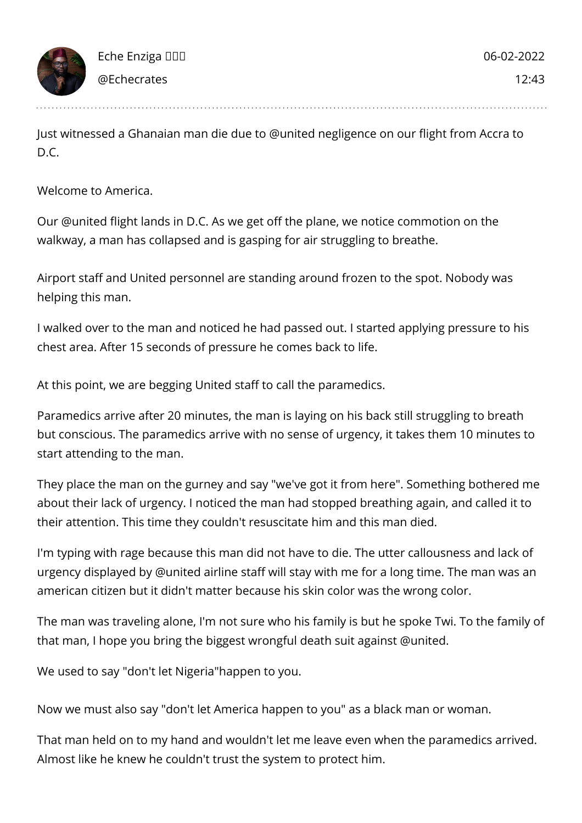Just witnessed a Ghanaian man die due to @united negligence on our flight from Accra to D.C.

Welcome to America.

Our @united flight lands in D.C. As we get off the plane, we notice commotion on the walkway, a man has collapsed and is gasping for air struggling to breathe.

Airport staff and United personnel are standing around frozen to the spot. Nobody was helping this man.

I walked over to the man and noticed he had passed out. I started applying pressure to his chest area. After 15 seconds of pressure he comes back to life.

At this point, we are begging United staff to call the paramedics.

Paramedics arrive after 20 minutes, the man is laying on his back still struggling to breath but conscious. The paramedics arrive with no sense of urgency, it takes them 10 minutes to start attending to the man.

They place the man on the gurney and say "we've got it from here". Something bothered me about their lack of urgency. I noticed the man had stopped breathing again, and called it to their attention. This time they couldn't resuscitate him and this man died.

I'm typing with rage because this man did not have to die. The utter callousness and lack of urgency displayed by @united airline staff will stay with me for a long time. The man was an american citizen but it didn't matter because his skin color was the wrong color.

The man was traveling alone, I'm not sure who his family is but he spoke Twi. To the family of that man, I hope you bring the biggest wrongful death suit against @united.

We used to say "don't let Nigeria"happen to you.

Now we must also say "don't let America happen to you" as a black man or woman.

That man held on to my hand and wouldn't let me leave even when the paramedics arrived. Almost like he knew he couldn't trust the system to protect him.